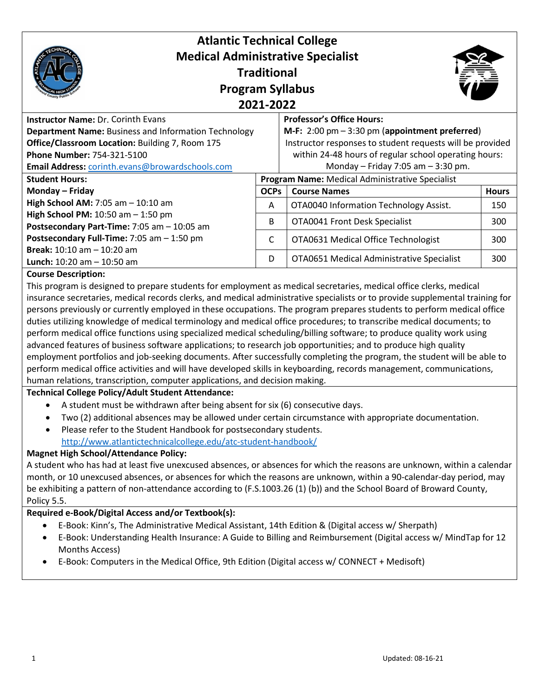| <b>Atlantic Technical College</b><br><b>Medical Administrative Specialist</b><br><b>Traditional</b><br><b>Program Syllabus</b><br>2021-2022 |             |                                                                  |              |  |
|---------------------------------------------------------------------------------------------------------------------------------------------|-------------|------------------------------------------------------------------|--------------|--|
| <b>Instructor Name: Dr. Corinth Evans</b>                                                                                                   |             | <b>Professor's Office Hours:</b>                                 |              |  |
| <b>Department Name: Business and Information Technology</b>                                                                                 |             | M-F: $2:00 \text{ pm} - 3:30 \text{ pm}$ (appointment preferred) |              |  |
| Office/Classroom Location: Building 7, Room 175                                                                                             |             | Instructor responses to student requests will be provided        |              |  |
| <b>Phone Number: 754-321-5100</b>                                                                                                           |             | within 24-48 hours of regular school operating hours:            |              |  |
| Email Address: corinth.evans@browardschools.com                                                                                             |             | Monday – Friday 7:05 am – 3:30 pm.                               |              |  |
| <b>Student Hours:</b>                                                                                                                       |             | <b>Program Name:</b> Medical Administrative Specialist           |              |  |
| Monday - Friday                                                                                                                             | <b>OCPs</b> | <b>Course Names</b>                                              | <b>Hours</b> |  |
| High School AM: $7:05$ am $- 10:10$ am                                                                                                      | A           | OTA0040 Information Technology Assist.                           | 150          |  |
| High School PM: 10:50 am - 1:50 pm<br>Postsecondary Part-Time: 7:05 am - 10:05 am                                                           | B           | OTA0041 Front Desk Specialist                                    | 300          |  |
| Postsecondary Full-Time: 7:05 am - 1:50 pm                                                                                                  | C           | OTA0631 Medical Office Technologist                              | 300          |  |
| <b>Break:</b> $10:10$ am $- 10:20$ am<br><b>Lunch:</b> $10:20$ am $- 10:50$ am                                                              | D           | OTA0651 Medical Administrative Specialist                        | 300          |  |

#### **Course Description:**

This program is designed to prepare students for employment as medical secretaries, medical office clerks, medical insurance secretaries, medical records clerks, and medical administrative specialists or to provide supplemental training for persons previously or currently employed in these occupations. The program prepares students to perform medical office duties utilizing knowledge of medical terminology and medical office procedures; to transcribe medical documents; to perform medical office functions using specialized medical scheduling/billing software; to produce quality work using advanced features of business software applications; to research job opportunities; and to produce high quality employment portfolios and job-seeking documents. After successfully completing the program, the student will be able to perform medical office activities and will have developed skills in keyboarding, records management, communications, human relations, transcription, computer applications, and decision making.

#### **Technical College Policy/Adult Student Attendance:**

- A student must be withdrawn after being absent for six (6) consecutive days.
- Two (2) additional absences may be allowed under certain circumstance with appropriate documentation.
- Please refer to the Student Handbook for postsecondary students. <http://www.atlantictechnicalcollege.edu/atc-student-handbook/>

#### **Magnet High School/Attendance Policy:**

A student who has had at least five unexcused absences, or absences for which the reasons are unknown, within a calendar month, or 10 unexcused absences, or absences for which the reasons are unknown, within a 90-calendar-day period, may be exhibiting a pattern of non-attendance according to (F.S.1003.26 (1) (b)) and the School Board of Broward County, Policy 5.5.

#### **Required e-Book/Digital Access and/or Textbook(s):**

- E-Book: Kinn's, The Administrative Medical Assistant, 14th Edition & (Digital access w/ Sherpath)
- E-Book: Understanding Health Insurance: A Guide to Billing and Reimbursement (Digital access w/ MindTap for 12 Months Access)
- E-Book: Computers in the Medical Office, 9th Edition (Digital access w/ CONNECT + Medisoft)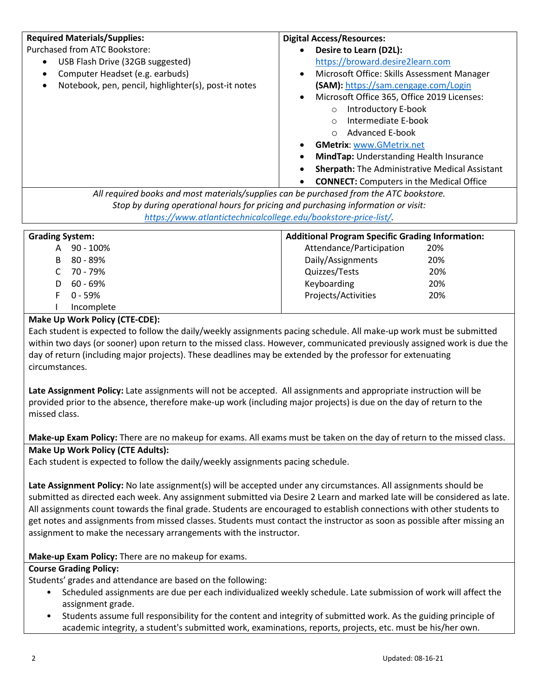| Desire to Learn (D2L):<br>USB Flash Drive (32GB suggested)<br>https://broward.desire2learn.com<br>Microsoft Office: Skills Assessment Manager<br>Computer Headset (e.g. earbuds)<br>$\bullet$<br>$\bullet$<br>Notebook, pen, pencil, highlighter(s), post-it notes<br>(SAM): https://sam.cengage.com/Login<br>$\bullet$<br>Microsoft Office 365, Office 2019 Licenses:<br>$\bullet$<br>Introductory E-book<br>$\circ$<br>Intermediate E-book<br>$\circ$<br><b>Advanced E-book</b><br>$\Omega$<br><b>GMetrix: www.GMetrix.net</b><br>MindTap: Understanding Health Insurance<br><b>Sherpath:</b> The Administrative Medical Assistant<br><b>CONNECT:</b> Computers in the Medical Office<br>All required books and most materials/supplies can be purchased from the ATC bookstore.<br>Stop by during operational hours for pricing and purchasing information or visit:<br>https://www.atlantictechnicalcollege.edu/bookstore-price-list/.<br><b>Grading System:</b><br><b>Additional Program Specific Grading Information:</b><br>Attendance/Participation<br>90 - 100%<br>20%<br>A<br>80 - 89%<br>Daily/Assignments<br>20%<br>B<br>70 - 79%<br>Quizzes/Tests<br>20%<br>C<br>60 - 69%<br>Keyboarding<br>20%<br>D<br>F<br>$0 - 59%$<br>Projects/Activities<br>20%<br>Incomplete<br>Make Up Work Policy (CTE-CDE):<br>Each student is expected to follow the daily/weekly assignments pacing schedule. All make-up work must be submitted<br>within two days (or sooner) upon return to the missed class. However, communicated previously assigned work is due the<br>day of return (including major projects). These deadlines may be extended by the professor for extenuating<br>circumstances.<br>Late Assignment Policy: Late assignments will not be accepted. All assignments and appropriate instruction will be<br>provided prior to the absence, therefore make-up work (including major projects) is due on the day of return to the<br>missed class.<br>Make-up Exam Policy: There are no makeup for exams. All exams must be taken on the day of return to the missed class.<br>Make Up Work Policy (CTE Adults):<br>Each student is expected to follow the daily/weekly assignments pacing schedule.<br>Late Assignment Policy: No late assignment(s) will be accepted under any circumstances. All assignments should be<br>submitted as directed each week. Any assignment submitted via Desire 2 Learn and marked late will be considered as late.<br>All assignments count towards the final grade. Students are encouraged to establish connections with other students to<br>get notes and assignments from missed classes. Students must contact the instructor as soon as possible after missing an<br>assignment to make the necessary arrangements with the instructor.<br>Make-up Exam Policy: There are no makeup for exams.<br><b>Course Grading Policy:</b><br>Students' grades and attendance are based on the following:<br>Scheduled assignments are due per each individualized weekly schedule. Late submission of work will affect the<br>$\bullet$<br>assignment grade.<br>Students assume full responsibility for the content and integrity of submitted work. As the guiding principle of<br>$\bullet$<br>academic integrity, a student's submitted work, examinations, reports, projects, etc. must be his/her own. | <b>Required Materials/Supplies:</b> | <b>Digital Access/Resources:</b> |  |  |
|-----------------------------------------------------------------------------------------------------------------------------------------------------------------------------------------------------------------------------------------------------------------------------------------------------------------------------------------------------------------------------------------------------------------------------------------------------------------------------------------------------------------------------------------------------------------------------------------------------------------------------------------------------------------------------------------------------------------------------------------------------------------------------------------------------------------------------------------------------------------------------------------------------------------------------------------------------------------------------------------------------------------------------------------------------------------------------------------------------------------------------------------------------------------------------------------------------------------------------------------------------------------------------------------------------------------------------------------------------------------------------------------------------------------------------------------------------------------------------------------------------------------------------------------------------------------------------------------------------------------------------------------------------------------------------------------------------------------------------------------------------------------------------------------------------------------------------------------------------------------------------------------------------------------------------------------------------------------------------------------------------------------------------------------------------------------------------------------------------------------------------------------------------------------------------------------------------------------------------------------------------------------------------------------------------------------------------------------------------------------------------------------------------------------------------------------------------------------------------------------------------------------------------------------------------------------------------------------------------------------------------------------------------------------------------------------------------------------------------------------------------------------------------------------------------------------------------------------------------------------------------------------------------------------------------------------------------------------------------------------------------------------------------------------------------------------------------------------------------------------------------------------------------------------------------------------------------------------------------------------------------------------------------------------------------------------------------------------------------------|-------------------------------------|----------------------------------|--|--|
|                                                                                                                                                                                                                                                                                                                                                                                                                                                                                                                                                                                                                                                                                                                                                                                                                                                                                                                                                                                                                                                                                                                                                                                                                                                                                                                                                                                                                                                                                                                                                                                                                                                                                                                                                                                                                                                                                                                                                                                                                                                                                                                                                                                                                                                                                                                                                                                                                                                                                                                                                                                                                                                                                                                                                                                                                                                                                                                                                                                                                                                                                                                                                                                                                                                                                                                                                           | Purchased from ATC Bookstore:       |                                  |  |  |
|                                                                                                                                                                                                                                                                                                                                                                                                                                                                                                                                                                                                                                                                                                                                                                                                                                                                                                                                                                                                                                                                                                                                                                                                                                                                                                                                                                                                                                                                                                                                                                                                                                                                                                                                                                                                                                                                                                                                                                                                                                                                                                                                                                                                                                                                                                                                                                                                                                                                                                                                                                                                                                                                                                                                                                                                                                                                                                                                                                                                                                                                                                                                                                                                                                                                                                                                                           |                                     |                                  |  |  |
|                                                                                                                                                                                                                                                                                                                                                                                                                                                                                                                                                                                                                                                                                                                                                                                                                                                                                                                                                                                                                                                                                                                                                                                                                                                                                                                                                                                                                                                                                                                                                                                                                                                                                                                                                                                                                                                                                                                                                                                                                                                                                                                                                                                                                                                                                                                                                                                                                                                                                                                                                                                                                                                                                                                                                                                                                                                                                                                                                                                                                                                                                                                                                                                                                                                                                                                                                           |                                     |                                  |  |  |
|                                                                                                                                                                                                                                                                                                                                                                                                                                                                                                                                                                                                                                                                                                                                                                                                                                                                                                                                                                                                                                                                                                                                                                                                                                                                                                                                                                                                                                                                                                                                                                                                                                                                                                                                                                                                                                                                                                                                                                                                                                                                                                                                                                                                                                                                                                                                                                                                                                                                                                                                                                                                                                                                                                                                                                                                                                                                                                                                                                                                                                                                                                                                                                                                                                                                                                                                                           |                                     |                                  |  |  |
|                                                                                                                                                                                                                                                                                                                                                                                                                                                                                                                                                                                                                                                                                                                                                                                                                                                                                                                                                                                                                                                                                                                                                                                                                                                                                                                                                                                                                                                                                                                                                                                                                                                                                                                                                                                                                                                                                                                                                                                                                                                                                                                                                                                                                                                                                                                                                                                                                                                                                                                                                                                                                                                                                                                                                                                                                                                                                                                                                                                                                                                                                                                                                                                                                                                                                                                                                           |                                     |                                  |  |  |
|                                                                                                                                                                                                                                                                                                                                                                                                                                                                                                                                                                                                                                                                                                                                                                                                                                                                                                                                                                                                                                                                                                                                                                                                                                                                                                                                                                                                                                                                                                                                                                                                                                                                                                                                                                                                                                                                                                                                                                                                                                                                                                                                                                                                                                                                                                                                                                                                                                                                                                                                                                                                                                                                                                                                                                                                                                                                                                                                                                                                                                                                                                                                                                                                                                                                                                                                                           |                                     |                                  |  |  |
|                                                                                                                                                                                                                                                                                                                                                                                                                                                                                                                                                                                                                                                                                                                                                                                                                                                                                                                                                                                                                                                                                                                                                                                                                                                                                                                                                                                                                                                                                                                                                                                                                                                                                                                                                                                                                                                                                                                                                                                                                                                                                                                                                                                                                                                                                                                                                                                                                                                                                                                                                                                                                                                                                                                                                                                                                                                                                                                                                                                                                                                                                                                                                                                                                                                                                                                                                           |                                     |                                  |  |  |
|                                                                                                                                                                                                                                                                                                                                                                                                                                                                                                                                                                                                                                                                                                                                                                                                                                                                                                                                                                                                                                                                                                                                                                                                                                                                                                                                                                                                                                                                                                                                                                                                                                                                                                                                                                                                                                                                                                                                                                                                                                                                                                                                                                                                                                                                                                                                                                                                                                                                                                                                                                                                                                                                                                                                                                                                                                                                                                                                                                                                                                                                                                                                                                                                                                                                                                                                                           |                                     |                                  |  |  |
|                                                                                                                                                                                                                                                                                                                                                                                                                                                                                                                                                                                                                                                                                                                                                                                                                                                                                                                                                                                                                                                                                                                                                                                                                                                                                                                                                                                                                                                                                                                                                                                                                                                                                                                                                                                                                                                                                                                                                                                                                                                                                                                                                                                                                                                                                                                                                                                                                                                                                                                                                                                                                                                                                                                                                                                                                                                                                                                                                                                                                                                                                                                                                                                                                                                                                                                                                           |                                     |                                  |  |  |
|                                                                                                                                                                                                                                                                                                                                                                                                                                                                                                                                                                                                                                                                                                                                                                                                                                                                                                                                                                                                                                                                                                                                                                                                                                                                                                                                                                                                                                                                                                                                                                                                                                                                                                                                                                                                                                                                                                                                                                                                                                                                                                                                                                                                                                                                                                                                                                                                                                                                                                                                                                                                                                                                                                                                                                                                                                                                                                                                                                                                                                                                                                                                                                                                                                                                                                                                                           |                                     |                                  |  |  |
|                                                                                                                                                                                                                                                                                                                                                                                                                                                                                                                                                                                                                                                                                                                                                                                                                                                                                                                                                                                                                                                                                                                                                                                                                                                                                                                                                                                                                                                                                                                                                                                                                                                                                                                                                                                                                                                                                                                                                                                                                                                                                                                                                                                                                                                                                                                                                                                                                                                                                                                                                                                                                                                                                                                                                                                                                                                                                                                                                                                                                                                                                                                                                                                                                                                                                                                                                           |                                     |                                  |  |  |
|                                                                                                                                                                                                                                                                                                                                                                                                                                                                                                                                                                                                                                                                                                                                                                                                                                                                                                                                                                                                                                                                                                                                                                                                                                                                                                                                                                                                                                                                                                                                                                                                                                                                                                                                                                                                                                                                                                                                                                                                                                                                                                                                                                                                                                                                                                                                                                                                                                                                                                                                                                                                                                                                                                                                                                                                                                                                                                                                                                                                                                                                                                                                                                                                                                                                                                                                                           |                                     |                                  |  |  |
|                                                                                                                                                                                                                                                                                                                                                                                                                                                                                                                                                                                                                                                                                                                                                                                                                                                                                                                                                                                                                                                                                                                                                                                                                                                                                                                                                                                                                                                                                                                                                                                                                                                                                                                                                                                                                                                                                                                                                                                                                                                                                                                                                                                                                                                                                                                                                                                                                                                                                                                                                                                                                                                                                                                                                                                                                                                                                                                                                                                                                                                                                                                                                                                                                                                                                                                                                           |                                     |                                  |  |  |
|                                                                                                                                                                                                                                                                                                                                                                                                                                                                                                                                                                                                                                                                                                                                                                                                                                                                                                                                                                                                                                                                                                                                                                                                                                                                                                                                                                                                                                                                                                                                                                                                                                                                                                                                                                                                                                                                                                                                                                                                                                                                                                                                                                                                                                                                                                                                                                                                                                                                                                                                                                                                                                                                                                                                                                                                                                                                                                                                                                                                                                                                                                                                                                                                                                                                                                                                                           |                                     |                                  |  |  |
|                                                                                                                                                                                                                                                                                                                                                                                                                                                                                                                                                                                                                                                                                                                                                                                                                                                                                                                                                                                                                                                                                                                                                                                                                                                                                                                                                                                                                                                                                                                                                                                                                                                                                                                                                                                                                                                                                                                                                                                                                                                                                                                                                                                                                                                                                                                                                                                                                                                                                                                                                                                                                                                                                                                                                                                                                                                                                                                                                                                                                                                                                                                                                                                                                                                                                                                                                           |                                     |                                  |  |  |
|                                                                                                                                                                                                                                                                                                                                                                                                                                                                                                                                                                                                                                                                                                                                                                                                                                                                                                                                                                                                                                                                                                                                                                                                                                                                                                                                                                                                                                                                                                                                                                                                                                                                                                                                                                                                                                                                                                                                                                                                                                                                                                                                                                                                                                                                                                                                                                                                                                                                                                                                                                                                                                                                                                                                                                                                                                                                                                                                                                                                                                                                                                                                                                                                                                                                                                                                                           |                                     |                                  |  |  |
|                                                                                                                                                                                                                                                                                                                                                                                                                                                                                                                                                                                                                                                                                                                                                                                                                                                                                                                                                                                                                                                                                                                                                                                                                                                                                                                                                                                                                                                                                                                                                                                                                                                                                                                                                                                                                                                                                                                                                                                                                                                                                                                                                                                                                                                                                                                                                                                                                                                                                                                                                                                                                                                                                                                                                                                                                                                                                                                                                                                                                                                                                                                                                                                                                                                                                                                                                           |                                     |                                  |  |  |
|                                                                                                                                                                                                                                                                                                                                                                                                                                                                                                                                                                                                                                                                                                                                                                                                                                                                                                                                                                                                                                                                                                                                                                                                                                                                                                                                                                                                                                                                                                                                                                                                                                                                                                                                                                                                                                                                                                                                                                                                                                                                                                                                                                                                                                                                                                                                                                                                                                                                                                                                                                                                                                                                                                                                                                                                                                                                                                                                                                                                                                                                                                                                                                                                                                                                                                                                                           |                                     |                                  |  |  |
|                                                                                                                                                                                                                                                                                                                                                                                                                                                                                                                                                                                                                                                                                                                                                                                                                                                                                                                                                                                                                                                                                                                                                                                                                                                                                                                                                                                                                                                                                                                                                                                                                                                                                                                                                                                                                                                                                                                                                                                                                                                                                                                                                                                                                                                                                                                                                                                                                                                                                                                                                                                                                                                                                                                                                                                                                                                                                                                                                                                                                                                                                                                                                                                                                                                                                                                                                           |                                     |                                  |  |  |
|                                                                                                                                                                                                                                                                                                                                                                                                                                                                                                                                                                                                                                                                                                                                                                                                                                                                                                                                                                                                                                                                                                                                                                                                                                                                                                                                                                                                                                                                                                                                                                                                                                                                                                                                                                                                                                                                                                                                                                                                                                                                                                                                                                                                                                                                                                                                                                                                                                                                                                                                                                                                                                                                                                                                                                                                                                                                                                                                                                                                                                                                                                                                                                                                                                                                                                                                                           |                                     |                                  |  |  |
|                                                                                                                                                                                                                                                                                                                                                                                                                                                                                                                                                                                                                                                                                                                                                                                                                                                                                                                                                                                                                                                                                                                                                                                                                                                                                                                                                                                                                                                                                                                                                                                                                                                                                                                                                                                                                                                                                                                                                                                                                                                                                                                                                                                                                                                                                                                                                                                                                                                                                                                                                                                                                                                                                                                                                                                                                                                                                                                                                                                                                                                                                                                                                                                                                                                                                                                                                           |                                     |                                  |  |  |
|                                                                                                                                                                                                                                                                                                                                                                                                                                                                                                                                                                                                                                                                                                                                                                                                                                                                                                                                                                                                                                                                                                                                                                                                                                                                                                                                                                                                                                                                                                                                                                                                                                                                                                                                                                                                                                                                                                                                                                                                                                                                                                                                                                                                                                                                                                                                                                                                                                                                                                                                                                                                                                                                                                                                                                                                                                                                                                                                                                                                                                                                                                                                                                                                                                                                                                                                                           |                                     |                                  |  |  |
|                                                                                                                                                                                                                                                                                                                                                                                                                                                                                                                                                                                                                                                                                                                                                                                                                                                                                                                                                                                                                                                                                                                                                                                                                                                                                                                                                                                                                                                                                                                                                                                                                                                                                                                                                                                                                                                                                                                                                                                                                                                                                                                                                                                                                                                                                                                                                                                                                                                                                                                                                                                                                                                                                                                                                                                                                                                                                                                                                                                                                                                                                                                                                                                                                                                                                                                                                           |                                     |                                  |  |  |
|                                                                                                                                                                                                                                                                                                                                                                                                                                                                                                                                                                                                                                                                                                                                                                                                                                                                                                                                                                                                                                                                                                                                                                                                                                                                                                                                                                                                                                                                                                                                                                                                                                                                                                                                                                                                                                                                                                                                                                                                                                                                                                                                                                                                                                                                                                                                                                                                                                                                                                                                                                                                                                                                                                                                                                                                                                                                                                                                                                                                                                                                                                                                                                                                                                                                                                                                                           |                                     |                                  |  |  |
|                                                                                                                                                                                                                                                                                                                                                                                                                                                                                                                                                                                                                                                                                                                                                                                                                                                                                                                                                                                                                                                                                                                                                                                                                                                                                                                                                                                                                                                                                                                                                                                                                                                                                                                                                                                                                                                                                                                                                                                                                                                                                                                                                                                                                                                                                                                                                                                                                                                                                                                                                                                                                                                                                                                                                                                                                                                                                                                                                                                                                                                                                                                                                                                                                                                                                                                                                           |                                     |                                  |  |  |
|                                                                                                                                                                                                                                                                                                                                                                                                                                                                                                                                                                                                                                                                                                                                                                                                                                                                                                                                                                                                                                                                                                                                                                                                                                                                                                                                                                                                                                                                                                                                                                                                                                                                                                                                                                                                                                                                                                                                                                                                                                                                                                                                                                                                                                                                                                                                                                                                                                                                                                                                                                                                                                                                                                                                                                                                                                                                                                                                                                                                                                                                                                                                                                                                                                                                                                                                                           |                                     |                                  |  |  |
|                                                                                                                                                                                                                                                                                                                                                                                                                                                                                                                                                                                                                                                                                                                                                                                                                                                                                                                                                                                                                                                                                                                                                                                                                                                                                                                                                                                                                                                                                                                                                                                                                                                                                                                                                                                                                                                                                                                                                                                                                                                                                                                                                                                                                                                                                                                                                                                                                                                                                                                                                                                                                                                                                                                                                                                                                                                                                                                                                                                                                                                                                                                                                                                                                                                                                                                                                           |                                     |                                  |  |  |
|                                                                                                                                                                                                                                                                                                                                                                                                                                                                                                                                                                                                                                                                                                                                                                                                                                                                                                                                                                                                                                                                                                                                                                                                                                                                                                                                                                                                                                                                                                                                                                                                                                                                                                                                                                                                                                                                                                                                                                                                                                                                                                                                                                                                                                                                                                                                                                                                                                                                                                                                                                                                                                                                                                                                                                                                                                                                                                                                                                                                                                                                                                                                                                                                                                                                                                                                                           |                                     |                                  |  |  |
|                                                                                                                                                                                                                                                                                                                                                                                                                                                                                                                                                                                                                                                                                                                                                                                                                                                                                                                                                                                                                                                                                                                                                                                                                                                                                                                                                                                                                                                                                                                                                                                                                                                                                                                                                                                                                                                                                                                                                                                                                                                                                                                                                                                                                                                                                                                                                                                                                                                                                                                                                                                                                                                                                                                                                                                                                                                                                                                                                                                                                                                                                                                                                                                                                                                                                                                                                           |                                     |                                  |  |  |
|                                                                                                                                                                                                                                                                                                                                                                                                                                                                                                                                                                                                                                                                                                                                                                                                                                                                                                                                                                                                                                                                                                                                                                                                                                                                                                                                                                                                                                                                                                                                                                                                                                                                                                                                                                                                                                                                                                                                                                                                                                                                                                                                                                                                                                                                                                                                                                                                                                                                                                                                                                                                                                                                                                                                                                                                                                                                                                                                                                                                                                                                                                                                                                                                                                                                                                                                                           |                                     |                                  |  |  |
|                                                                                                                                                                                                                                                                                                                                                                                                                                                                                                                                                                                                                                                                                                                                                                                                                                                                                                                                                                                                                                                                                                                                                                                                                                                                                                                                                                                                                                                                                                                                                                                                                                                                                                                                                                                                                                                                                                                                                                                                                                                                                                                                                                                                                                                                                                                                                                                                                                                                                                                                                                                                                                                                                                                                                                                                                                                                                                                                                                                                                                                                                                                                                                                                                                                                                                                                                           |                                     |                                  |  |  |
|                                                                                                                                                                                                                                                                                                                                                                                                                                                                                                                                                                                                                                                                                                                                                                                                                                                                                                                                                                                                                                                                                                                                                                                                                                                                                                                                                                                                                                                                                                                                                                                                                                                                                                                                                                                                                                                                                                                                                                                                                                                                                                                                                                                                                                                                                                                                                                                                                                                                                                                                                                                                                                                                                                                                                                                                                                                                                                                                                                                                                                                                                                                                                                                                                                                                                                                                                           |                                     |                                  |  |  |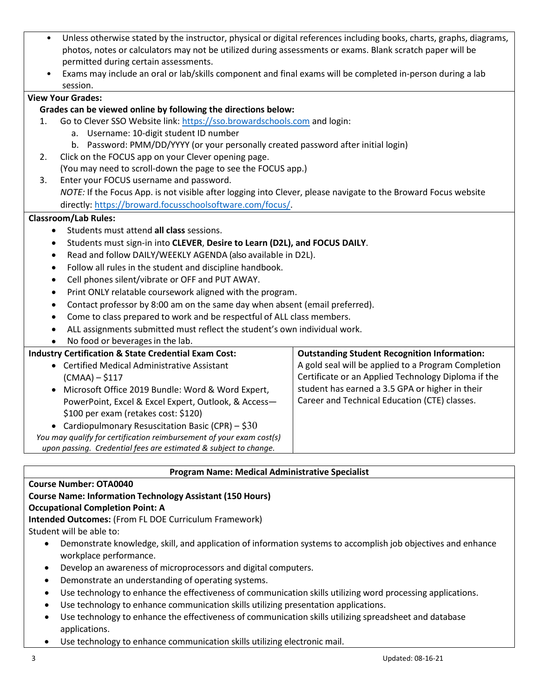- Unless otherwise stated by the instructor, physical or digital references including books, charts, graphs, diagrams, photos, notes or calculators may not be utilized during assessments or exams. Blank scratch paper will be permitted during certain assessments.
- Exams may include an oral or lab/skills component and final exams will be completed in-person during a lab session.

## **View Your Grades:**

### **Grades can be viewed online by following the directions below:**

- 1. Go to Clever SSO Website link: [https://sso.browardschools.com](https://sso.browardschools.com/) and login:
	- a. Username: 10-digit student ID number
	- b. Password: PMM/DD/YYYY (or your personally created password after initial login)
- 2. Click on the FOCUS app on your Clever opening page.
- (You may need to scroll-down the page to see the FOCUS app.) 3. Enter your FOCUS username and password. *NOTE:* If the Focus App. is not visible after logging into Clever, please navigate to the Broward Focus website directly: [https://broward.focusschoolsoftware.com/focus/.](https://broward.focusschoolsoftware.com/focus/)

#### **Classroom/Lab Rules:**

- Students must attend **all class** sessions.
- Students must sign-in into **CLEVER**, **Desire to Learn (D2L), and FOCUS DAILY**.
- Read and follow DAILY/WEEKLY AGENDA (also available in D2L).
- Follow all rules in the student and discipline handbook.
- Cell phones silent/vibrate or OFF and PUT AWAY.
- Print ONLY relatable coursework aligned with the program.
- Contact professor by 8:00 am on the same day when absent (email preferred).
- Come to class prepared to work and be respectful of ALL class members.
- ALL assignments submitted must reflect the student's own individual work.
- No food or beverages in the lab.

| <b>Industry Certification &amp; State Credential Exam Cost:</b>      | <b>Outstanding Student Recognition Information:</b> |
|----------------------------------------------------------------------|-----------------------------------------------------|
| • Certified Medical Administrative Assistant                         | A gold seal will be applied to a Program Completion |
| $(CMAA) - $117$                                                      | Certificate or an Applied Technology Diploma if the |
| • Microsoft Office 2019 Bundle: Word & Word Expert,                  | student has earned a 3.5 GPA or higher in their     |
| PowerPoint, Excel & Excel Expert, Outlook, & Access-                 | Career and Technical Education (CTE) classes.       |
| \$100 per exam (retakes cost: \$120)                                 |                                                     |
| • Cardiopulmonary Resuscitation Basic (CPR) – $$30$                  |                                                     |
| You may qualify for certification reimbursement of your exam cost(s) |                                                     |
| upon passing. Credential fees are estimated & subject to change.     |                                                     |

#### **Program Name: Medical Administrative Specialist**

#### **Course Number: OTA0040**

#### **Course Name: Information Technology Assistant (150 Hours)**

#### **Occupational Completion Point: A**

**Intended Outcomes:** (From FL DOE Curriculum Framework)

Student will be able to:

- Demonstrate knowledge, skill, and application of information systems to accomplish job objectives and enhance workplace performance.
- Develop an awareness of microprocessors and digital computers.
- Demonstrate an understanding of operating systems.
- Use technology to enhance the effectiveness of communication skills utilizing word processing applications.
- Use technology to enhance communication skills utilizing presentation applications.
- Use technology to enhance the effectiveness of communication skills utilizing spreadsheet and database applications.
- Use technology to enhance communication skills utilizing electronic mail.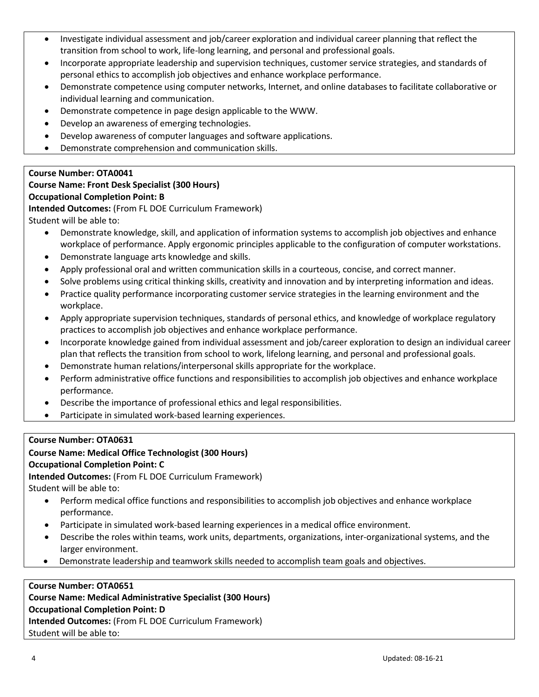- Investigate individual assessment and job/career exploration and individual career planning that reflect the transition from school to work, life-long learning, and personal and professional goals.
- Incorporate appropriate leadership and supervision techniques, customer service strategies, and standards of personal ethics to accomplish job objectives and enhance workplace performance.
- Demonstrate competence using computer networks, Internet, and online databases to facilitate collaborative or individual learning and communication.
- Demonstrate competence in page design applicable to the WWW.
- Develop an awareness of emerging technologies.
- Develop awareness of computer languages and software applications.
- Demonstrate comprehension and communication skills.

# **Course Number: OTA0041**

#### **Course Name: Front Desk Specialist (300 Hours) Occupational Completion Point: B**

**Intended Outcomes:** (From FL DOE Curriculum Framework) Student will be able to:

- Demonstrate knowledge, skill, and application of information systems to accomplish job objectives and enhance workplace of performance. Apply ergonomic principles applicable to the configuration of computer workstations.
- Demonstrate language arts knowledge and skills.
- Apply professional oral and written communication skills in a courteous, concise, and correct manner.
- Solve problems using critical thinking skills, creativity and innovation and by interpreting information and ideas.
- Practice quality performance incorporating customer service strategies in the learning environment and the workplace.
- Apply appropriate supervision techniques, standards of personal ethics, and knowledge of workplace regulatory practices to accomplish job objectives and enhance workplace performance.
- Incorporate knowledge gained from individual assessment and job/career exploration to design an individual career plan that reflects the transition from school to work, lifelong learning, and personal and professional goals.
- Demonstrate human relations/interpersonal skills appropriate for the workplace.
- Perform administrative office functions and responsibilities to accomplish job objectives and enhance workplace performance.
- Describe the importance of professional ethics and legal responsibilities.
- Participate in simulated work-based learning experiences.

## **Course Number: OTA0631**

# **Course Name: Medical Office Technologist (300 Hours)**

## **Occupational Completion Point: C**

**Intended Outcomes:** (From FL DOE Curriculum Framework)

Student will be able to:

- Perform medical office functions and responsibilities to accomplish job objectives and enhance workplace performance.
- Participate in simulated work-based learning experiences in a medical office environment.
- Describe the roles within teams, work units, departments, organizations, inter-organizational systems, and the larger environment.
- Demonstrate leadership and teamwork skills needed to accomplish team goals and objectives.

## **Course Number: OTA0651**

**Course Name: Medical Administrative Specialist (300 Hours) Occupational Completion Point: D**

**Intended Outcomes:** (From FL DOE Curriculum Framework)

Student will be able to: